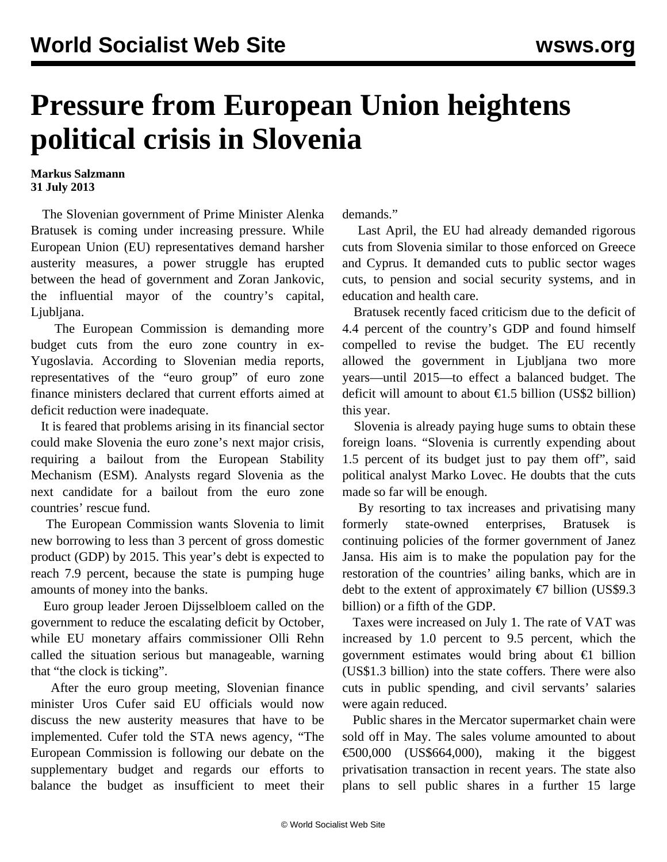## **Pressure from European Union heightens political crisis in Slovenia**

**Markus Salzmann 31 July 2013**

 The Slovenian government of Prime Minister Alenka Bratusek is coming under increasing pressure. While European Union (EU) representatives demand harsher austerity measures, a power struggle has erupted between the head of government and Zoran Jankovic, the influential mayor of the country's capital, Ljubljana.

 The European Commission is demanding more budget cuts from the euro zone country in ex-Yugoslavia. According to Slovenian media reports, representatives of the "euro group" of euro zone finance ministers declared that current efforts aimed at deficit reduction were inadequate.

 It is feared that problems arising in its financial sector could make Slovenia the euro zone's next major crisis, requiring a bailout from the European Stability Mechanism (ESM). Analysts regard Slovenia as the next candidate for a bailout from the euro zone countries' rescue fund.

 The European Commission wants Slovenia to limit new borrowing to less than 3 percent of gross domestic product (GDP) by 2015. This year's debt is expected to reach 7.9 percent, because the state is pumping huge amounts of money into the banks.

 Euro group leader Jeroen Dijsselbloem called on the government to reduce the escalating deficit by October, while EU monetary affairs commissioner Olli Rehn called the situation serious but manageable, warning that "the clock is ticking".

 After the euro group meeting, Slovenian finance minister Uros Cufer said EU officials would now discuss the new austerity measures that have to be implemented. Cufer told the STA news agency, "The European Commission is following our debate on the supplementary budget and regards our efforts to balance the budget as insufficient to meet their demands."

 Last April, the EU had already demanded rigorous cuts from Slovenia similar to those enforced on Greece and Cyprus. It demanded cuts to public sector wages cuts, to pension and social security systems, and in education and health care.

 Bratusek recently faced criticism due to the deficit of 4.4 percent of the country's GDP and found himself compelled to revise the budget. The EU recently allowed the government in Ljubljana two more years—until 2015—to effect a balanced budget. The deficit will amount to about €1.5 billion (US\$2 billion) this year.

 Slovenia is already paying huge sums to obtain these foreign loans. "Slovenia is currently expending about 1.5 percent of its budget just to pay them off", said political analyst Marko Lovec. He doubts that the cuts made so far will be enough.

 By resorting to tax increases and privatising many formerly state-owned enterprises, Bratusek is continuing policies of the former government of Janez Jansa. His aim is to make the population pay for the restoration of the countries' ailing banks, which are in debt to the extent of approximately  $\epsilon$ 7 billion (US\$9.3) billion) or a fifth of the GDP.

 Taxes were increased on July 1. The rate of VAT was increased by 1.0 percent to 9.5 percent, which the government estimates would bring about €1 billion (US\$1.3 billion) into the state coffers. There were also cuts in public spending, and civil servants' salaries were again reduced.

 Public shares in the Mercator supermarket chain were sold off in May. The sales volume amounted to about €500,000 (US\$664,000), making it the biggest privatisation transaction in recent years. The state also plans to sell public shares in a further 15 large